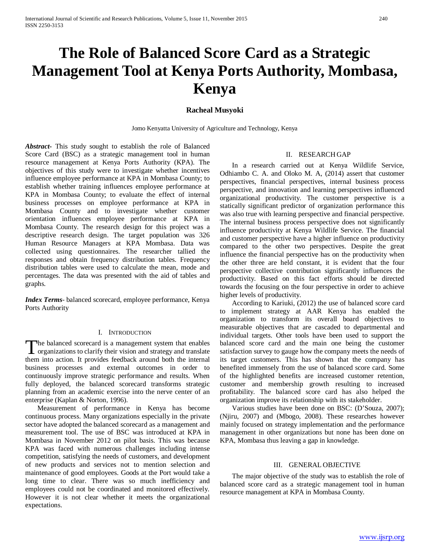# **The Role of Balanced Score Card as a Strategic Management Tool at Kenya Ports Authority, Mombasa, Kenya**

# **Racheal Musyoki**

Jomo Kenyatta University of Agriculture and Technology, Kenya

*Abstract***-** This study sought to establish the role of Balanced Score Card (BSC) as a strategic management tool in human resource management at Kenya Ports Authority (KPA). The objectives of this study were to investigate whether incentives influence employee performance at KPA in Mombasa County; to establish whether training influences employee performance at KPA in Mombasa County; to evaluate the effect of internal business processes on employee performance at KPA in Mombasa County and to investigate whether customer orientation influences employee performance at KPA in Mombasa County. The research design for this project was a descriptive research design. The target population was 326 Human Resource Managers at KPA Mombasa. Data was collected using questionnaires. The researcher tallied the responses and obtain frequency distribution tables. Frequency distribution tables were used to calculate the mean, mode and percentages. The data was presented with the aid of tables and graphs.

*Index Terms*- balanced scorecard, employee performance, Kenya Ports Authority

#### I. INTRODUCTION

The balanced scorecard is a management system that enables The balanced scorecard is a management system that enables<br>organizations to clarify their vision and strategy and translate them into action. It provides feedback around both the internal business processes and external outcomes in order to continuously improve strategic performance and results. When fully deployed, the balanced scorecard transforms strategic planning from an academic exercise into the nerve center of an enterprise (Kaplan & Norton, 1996).

 Measurement of performance in Kenya has become continuous process. Many organizations especially in the private sector have adopted the balanced scorecard as a management and measurement tool. The use of BSC was introduced at KPA in Mombasa in November 2012 on pilot basis. This was because KPA was faced with numerous challenges including intense competition, satisfying the needs of customers, and development of new products and services not to mention selection and maintenance of good employees. Goods at the Port would take a long time to clear. There was so much inefficiency and employees could not be coordinated and monitored effectively. However it is not clear whether it meets the organizational expectations.

# II. RESEARCH GAP

 In a research carried out at Kenya Wildlife Service, Odhiambo C. A. and Oloko M. A, (2014) assert that customer perspectives, financial perspectives, internal business process perspective, and innovation and learning perspectives influenced organizational productivity. The customer perspective is a statically significant predictor of organization performance this was also true with learning perspective and financial perspective. The internal business process perspective does not significantly influence productivity at Kenya Wildlife Service. The financial and customer perspective have a higher influence on productivity compared to the other two perspectives. Despite the great influence the financial perspective has on the productivity when the other three are held constant, it is evident that the four perspective collective contribution significantly influences the productivity. Based on this fact efforts should be directed towards the focusing on the four perspective in order to achieve higher levels of productivity.

 According to Kariuki, (2012) the use of balanced score card to implement strategy at AAR Kenya has enabled the organization to transform its overall board objectives to measurable objectives that are cascaded to departmental and individual targets. Other tools have been used to support the balanced score card and the main one being the customer satisfaction survey to gauge how the company meets the needs of its target customers. This has shown that the company has benefited immensely from the use of balanced score card. Some of the highlighted benefits are increased customer retention, customer and membership growth resulting to increased profitability. The balanced score card has also helped the organization improve its relationship with its stakeholder.

 Various studies have been done on BSC: (D'Souza, 2007); (Njiru, 2007) and (Mbogo, 2008). These researches however mainly focused on strategy implementation and the performance management in other organizations but none has been done on KPA, Mombasa thus leaving a gap in knowledge.

#### III. GENERAL OBJECTIVE

 The major objective of the study was to establish the role of balanced score card as a strategic management tool in human resource management at KPA in Mombasa County.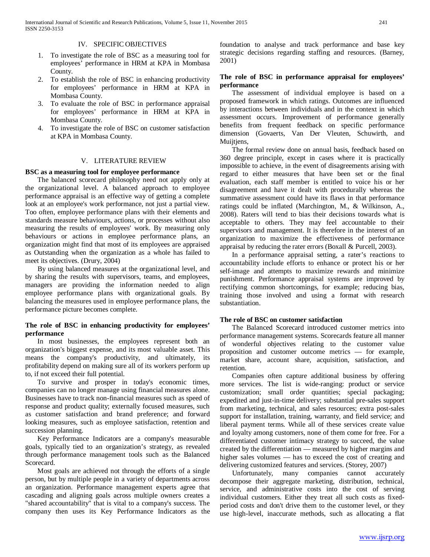#### IV. SPECIFIC OBJECTIVES

- 1. To investigate the role of BSC as a measuring tool for employees' performance in HRM at KPA in Mombasa County.
- 2. To establish the role of BSC in enhancing productivity for employees' performance in HRM at KPA in Mombasa County.
- 3. To evaluate the role of BSC in performance appraisal for employees' performance in HRM at KPA in Mombasa County.
- 4. To investigate the role of BSC on customer satisfaction at KPA in Mombasa County.

#### V. LITERATURE REVIEW

#### **BSC as a measuring tool for employee performance**

 The balanced scorecard philosophy need not apply only at the organizational level. A balanced approach to employee performance appraisal is an effective way of getting a complete look at an employee's work performance, not just a partial view. Too often, employee performance plans with their elements and standards measure behaviours, actions, or processes without also measuring the results of employees' work. By measuring only behaviours or actions in employee performance plans, an organization might find that most of its employees are appraised as Outstanding when the organization as a whole has failed to meet its objectives. (Drury, 2004)

 By using balanced measures at the organizational level, and by sharing the results with supervisors, teams, and employees, managers are providing the information needed to align employee performance plans with organizational goals. By balancing the measures used in employee performance plans, the performance picture becomes complete.

# **The role of BSC in enhancing productivity for employees' performance**

 In most businesses, the employees represent both an organization's biggest expense, and its most valuable asset. This means the company's productivity, and ultimately, its profitability depend on making sure all of its workers perform up to, if not exceed their full potential.

 To survive and prosper in today's economic times, companies can no longer manage using financial measures alone. Businesses have to track non-financial measures such as speed of response and product quality; externally focused measures, such as customer satisfaction and brand preference; and forward looking measures, such as employee satisfaction, retention and succession planning.

 Key Performance Indicators are a company's measurable goals, typically tied to an organization's strategy, as revealed through performance management tools such as the Balanced Scorecard.

 Most goals are achieved not through the efforts of a single person, but by multiple people in a variety of departments across an organization. Performance management experts agree that cascading and aligning goals across multiple owners creates a "shared accountability" that is vital to a company's success. The company then uses its Key Performance Indicators as the foundation to analyse and track performance and base key strategic decisions regarding staffing and resources. (Barney, 2001)

# **The role of BSC in performance appraisal for employees' performance**

 The assessment of individual employee is based on a proposed framework in which ratings. Outcomes are influenced by interactions between individuals and in the context in which assessment occurs. Improvement of performance generally benefits from frequent feedback on specific performance dimension (Govaerts, Van Der Vleuten, Schuwirth, and Muijtjens,

 The formal review done on annual basis, feedback based on 360 degree principle, except in cases where it is practically impossible to achieve, in the event of disagreements arising with regard to either measures that have been set or the final evaluation, each staff member is entitled to voice his or her disagreement and have it dealt with procedurally whereas the summative assessment could have its flaws in that performance ratings could be inflated (Marchington, M., & Wilkinson, A., 2008). Raters will tend to bias their decisions towards what is acceptable to others. They may feel accountable to their supervisors and management. It is therefore in the interest of an organization to maximize the effectiveness of performance appraisal by reducing the rater errors (Boxall & Purcell, 2003).

 In a performance appraisal setting, a rater's reactions to accountability include efforts to enhance or protect his or her self-image and attempts to maximize rewards and minimize punishment. Performance appraisal systems are improved by rectifying common shortcomings, for example; reducing bias, training those involved and using a format with research substantiation.

#### **The role of BSC on customer satisfaction**

 The Balanced Scorecard introduced customer metrics into performance management systems. Scorecards feature all manner of wonderful objectives relating to the customer value proposition and customer outcome metrics — for example, market share, account share, acquisition, satisfaction, and retention.

 Companies often capture additional business by offering more services. The list is wide-ranging: product or service customization; small order quantities; special packaging; expedited and just-in-time delivery; substantial pre-sales support from marketing, technical, and sales resources; extra post-sales support for installation, training, warranty, and field service; and liberal payment terms. While all of these services create value and loyalty among customers, none of them come for free. For a differentiated customer intimacy strategy to succeed, the value created by the differentiation — measured by higher margins and higher sales volumes — has to exceed the cost of creating and delivering customized features and services. (Storey, 2007)

 Unfortunately, many companies cannot accurately decompose their aggregate marketing, distribution, technical, service, and administrative costs into the cost of serving individual customers. Either they treat all such costs as fixedperiod costs and don't drive them to the customer level, or they use high-level, inaccurate methods, such as allocating a flat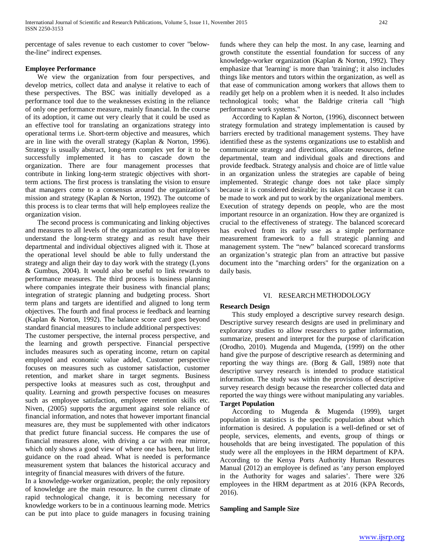percentage of sales revenue to each customer to cover "belowthe-line" indirect expenses.

### **Employee Performance**

 We view the organization from four perspectives, and develop metrics, collect data and analyse it relative to each of these perspectives. The BSC was initially developed as a performance tool due to the weaknesses existing in the reliance of only one performance measure, mainly financial. In the course of its adoption, it came out very clearly that it could be used as an effective tool for translating an organizations strategy into operational terms i.e. Short-term objective and measures, which are in line with the overall strategy (Kaplan & Norton, 1996). Strategy is usually abstract, long-term complex yet for it to be successfully implemented it has to cascade down the organization. There are four management processes that contribute in linking long-term strategic objectives with shortterm actions. The first process is translating the vision to ensure that managers come to a consensus around the organization's mission and strategy (Kaplan & Norton, 1992). The outcome of this process is to clear terms that will help employees realize the organization vision.

 The second process is communicating and linking objectives and measures to all levels of the organization so that employees understand the long-term strategy and as result have their departmental and individual objectives aligned with it. Those at the operational level should be able to fully understand the strategy and align their day to day work with the strategy (Lyons & Gumbus, 2004). It would also be useful to link rewards to performance measures. The third process is business planning where companies integrate their business with financial plans; integration of strategic planning and budgeting process. Short term plans and targets are identified and aligned to long term objectives. The fourth and final process ie feedback and learning (Kaplan & Norton, 1992). The balance score card goes beyond standard financial measures to include additional perspectives:

The customer perspective, the internal process perspective, and the learning and growth perspective. Financial perspective includes measures such as operating income, return on capital employed and economic value added, Customer perspective focuses on measures such as customer satisfaction, customer retention, and market share in target segments. Business perspective looks at measures such as cost, throughput and quality. Learning and growth perspective focuses on measures such as employee satisfaction, employee retention skills etc. Niven, (2005) supports the argument against sole reliance of financial information, and notes that however important financial measures are, they must be supplemented with other indicators that predict future financial success. He compares the use of financial measures alone, with driving a car with rear mirror, which only shows a good view of where one has been, but little guidance on the road ahead. What is needed is performance measurement system that balances the historical accuracy and integrity of financial measures with drivers of the future.

In a knowledge-worker organization, people; the only repository of knowledge are the main resource. In the current climate of rapid technological change, it is becoming necessary for knowledge workers to be in a continuous learning mode. Metrics can be put into place to guide managers in focusing training funds where they can help the most. In any case, learning and growth constitute the essential foundation for success of any knowledge-worker organization (Kaplan & Norton, 1992). They emphasize that 'learning' is more than 'training'; it also includes things like mentors and tutors within the organization, as well as that ease of communication among workers that allows them to readily get help on a problem when it is needed. It also includes technological tools; what the Baldrige criteria call "high performance work systems."

 According to Kaplan & Norton, (1996), disconnect between strategy formulation and strategy implementation is caused by barriers erected by traditional management systems. They have identified these as the systems organizations use to establish and communicate strategy and directions, allocate resources, define departmental, team and individual goals and directions and provide feedback. Strategy analysis and choice are of little value in an organization unless the strategies are capable of being implemented. Strategic change does not take place simply because it is considered desirable; its takes place because it can be made to work and put to work by the organizational members. Execution of strategy depends on people, who are the most important resource in an organization. How they are organized is crucial to the effectiveness of strategy. The balanced scorecard has evolved from its early use as a simple performance measurement framework to a full strategic planning and management system. The "new" balanced scorecard transforms an organization's strategic plan from an attractive but passive document into the "marching orders" for the organization on a daily basis.

# VI. RESEARCH METHODOLOGY

# **Research Design**

 This study employed a descriptive survey research design. Descriptive survey research designs are used in preliminary and exploratory studies to allow researchers to gather information, summarize, present and interpret for the purpose of clarification (Orodho, 2010). Mugenda and Mugenda, (1999) on the other hand give the purpose of descriptive research as determining and reporting the way things are. (Borg & Gall, 1989) note that descriptive survey research is intended to produce statistical information. The study was within the provisions of descriptive survey research design because the researcher collected data and reported the way things were without manipulating any variables. **Target Population** 

 According to Mugenda & Mugenda (1999), target population in statistics is the specific population about which information is desired. A population is a well-defined or set of people, services, elements, and events, group of things or households that are being investigated. The population of this study were all the employees in the HRM department of KPA. According to the Kenya Ports Authority Human Resources Manual (2012) an employee is defined as 'any person employed in the Authority for wages and salaries'. There were 326 employees in the HRM department as at 2016 (KPA Records, 2016).

#### **Sampling and Sample Size**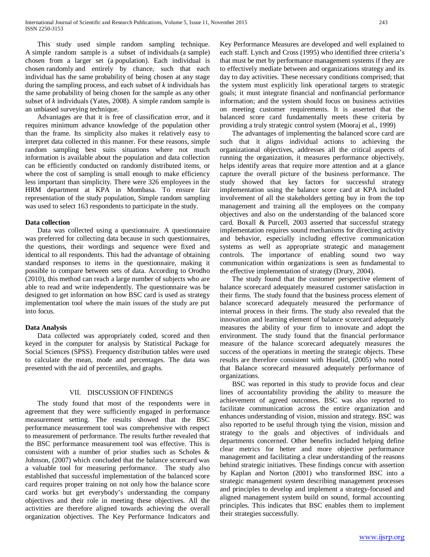This study used simple random sampling technique. A simple random sample is a subset of individuals (a sample) chosen from a larger set (a population). Each individual is chosen randomly and entirely by chance, such that each individual has the same probability of being chosen at any stage during the sampling process, and each subset of *k* individuals has the same probability of being chosen for the sample as any other subset of *k* individuals (Yates, 2008). A simple random sample is an unbiased surveying technique.

 Advantages are that it is free of classification error, and it requires minimum advance knowledge of the population other than the frame. Its simplicity also makes it relatively easy to interpret data collected in this manner. For these reasons, simple random sampling best suits situations where not much information is available about the population and data collection can be efficiently conducted on randomly distributed items, or where the cost of sampling is small enough to make efficiency less important than simplicity. There were 326 employees in the HRM department at KPA in Mombasa. To ensure fair representation of the study population, Simple random sampling was used to select 163 respondents to participate in the study.

#### **Data collection**

 Data was collected using a questionnaire. A questionnaire was preferred for collecting data because in such questionnaires, the questions, their wordings and sequence were fixed and identical to all respondents. This had the advantage of obtaining standard responses to items in the questionnaire, making it possible to compare between sets of data. According to Orodho (2010), this method can reach a large number of subjects who are able to read and write independently. The questionnaire was be designed to get information on how BSC card is used as strategy implementation tool where the main issues of the study are put into focus.

# **Data Analysis**

 Data collected was appropriately coded, scored and then keyed in the computer for analysis by Statistical Package for Social Sciences (SPSS). Frequency distribution tables were used to calculate the mean, mode and percentages. The data was presented with the aid of percentiles, and graphs.

# VII. DISCUSSION OF FINDINGS

 The study found that most of the respondents were in agreement that they were sufficiently engaged in performance measurement setting. The results showed that the BSC performance measurement tool was comprehensive with respect to measurement of performance. The results further revealed that the BSC performance measurement tool was effective. This is consistent with a number of prior studies such as Scholes & Johnson, (2007) which concluded that the balance scorecard was a valuable tool for measuring performance. The study also established that successful implementation of the balanced score card requires proper training on not only how the balance score card works but get everybody's understanding the company objectives and their role in meeting these objectives. All the activities are therefore aligned towards achieving the overall organization objectives. The Key Performance Indicators and

Key Performance Measures are developed and well explained to each staff. Lynch and Cross (1995) who identified three criteria's that must be met by performance management systems if they are to effectively mediate between and organizations strategy and its day to day activities. These necessary conditions comprised; that the system must explicitly link operational targets to strategic goals; it must integrate financial and nonfinancial performance information; and the system should focus on business activities on meeting customer requirements. It is asserted that the balanced score card fundamentally meets these criteria by providing a truly strategic control system (Mooraj et al., 1999)

 The advantages of implementing the balanced score card are such that it aligns individual actions to achieving the organizational objectives, addresses all the critical aspects of running the organization, it measures performance objectively, helps identify areas that require more attention and at a glance capture the overall picture of the business performance. The study showed that key factors for successful strategy implementation using the balance score card at KPA included involvement of all the stakeholders getting buy in from the top management and training all the employees on the company objectives and also on the understanding of the balanced score card. Boxall & Purcell, 2003 asserted that successful strategy implementation requires sound mechanisms for directing activity and behavior, especially including effective communication systems as well as appropriate strategic and management controls. The importance of enabling sound two way communication within organizations is seen as fundamental to the effective implementation of strategy (Drury, 2004).

 The study found that the customer perspective element of balance scorecard adequately measured customer satisfaction in their firms. The study found that the business process element of balance scorecard adequately measured the performance of internal process in their firms. The study also revealed that the innovation and learning element of balance scorecard adequately measures the ability of your firm to innovate and adopt the environment. The study found that the financial performance measure of the balance scorecard adequately measures the success of the operations in meeting the strategic objects. These results are therefore consistent with Huselid, (2005) who noted that Balance scorecard measured adequately performance of organizations.

 BSC was reported in this study to provide focus and clear lines of accountability providing the ability to measure the achievement of agreed outcomes. BSC was also reported to facilitate communication across the entire organization and enhances understanding of vision, mission and strategy. BSC was also reported to be useful through tying the vision, mission and strategy to the goals and objectives of individuals and departments concerned. Other benefits included helping define clear metrics for better and more objective performance management and facilitating a clear understanding of the reasons behind strategic initiatives. These findings concur with assertion by Kaplan and Norton (2001) who transformed BSC into a strategic management system describing management processes and principles to develop and implement a strategy-focused and aligned management system build on sound, formal accounting principles. This indicates that BSC enables them to implement their strategies successfully.